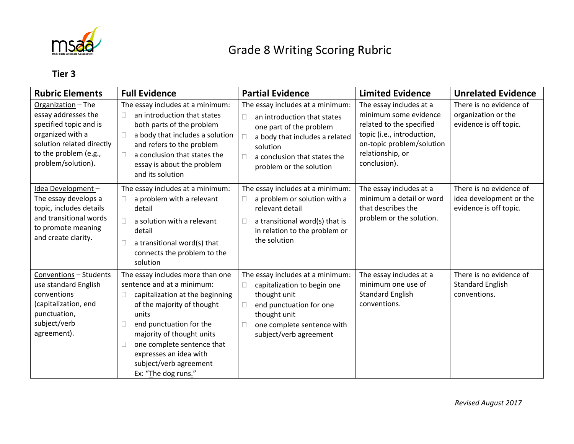

## Grade 8 Writing Scoring Rubric

## **Tier 3**

| <b>Rubric Elements</b>                                                                                                                                              | <b>Full Evidence</b>                                                                                                                                                                                                                                                                                           | <b>Partial Evidence</b>                                                                                                                                                                                            | <b>Limited Evidence</b>                                                                                                                                                     | <b>Unrelated Evidence</b>                                                    |
|---------------------------------------------------------------------------------------------------------------------------------------------------------------------|----------------------------------------------------------------------------------------------------------------------------------------------------------------------------------------------------------------------------------------------------------------------------------------------------------------|--------------------------------------------------------------------------------------------------------------------------------------------------------------------------------------------------------------------|-----------------------------------------------------------------------------------------------------------------------------------------------------------------------------|------------------------------------------------------------------------------|
| Organization - The<br>essay addresses the<br>specified topic and is<br>organized with a<br>solution related directly<br>to the problem (e.g.,<br>problem/solution). | The essay includes at a minimum:<br>an introduction that states<br>both parts of the problem<br>a body that includes a solution<br>and refers to the problem<br>a conclusion that states the<br>essay is about the problem<br>and its solution                                                                 | The essay includes at a minimum:<br>an introduction that states<br>П<br>one part of the problem<br>a body that includes a related<br>П<br>solution<br>a conclusion that states the<br>П<br>problem or the solution | The essay includes at a<br>minimum some evidence<br>related to the specified<br>topic (i.e., introduction,<br>on-topic problem/solution<br>relationship, or<br>conclusion). | There is no evidence of<br>organization or the<br>evidence is off topic.     |
| Idea Development-<br>The essay develops a<br>topic, includes details<br>and transitional words<br>to promote meaning<br>and create clarity.                         | The essay includes at a minimum:<br>a problem with a relevant<br>detail<br>a solution with a relevant<br>detail<br>a transitional word(s) that<br>connects the problem to the<br>solution                                                                                                                      | The essay includes at a minimum:<br>a problem or solution with a<br>$\Box$<br>relevant detail<br>a transitional word(s) that is<br>П<br>in relation to the problem or<br>the solution                              | The essay includes at a<br>minimum a detail or word<br>that describes the<br>problem or the solution.                                                                       | There is no evidence of<br>idea development or the<br>evidence is off topic. |
| Conventions - Students<br>use standard English<br>conventions<br>(capitalization, end<br>punctuation,<br>subject/verb<br>agreement).                                | The essay includes more than one<br>sentence and at a minimum:<br>capitalization at the beginning<br>of the majority of thought<br>units<br>end punctuation for the<br>L<br>majority of thought units<br>one complete sentence that<br>expresses an idea with<br>subject/verb agreement<br>Ex: "The dog runs." | The essay includes at a minimum:<br>capitalization to begin one<br>0<br>thought unit<br>end punctuation for one<br>$\Box$<br>thought unit<br>one complete sentence with<br>□<br>subject/verb agreement             | The essay includes at a<br>minimum one use of<br><b>Standard English</b><br>conventions.                                                                                    | There is no evidence of<br><b>Standard English</b><br>conventions.           |